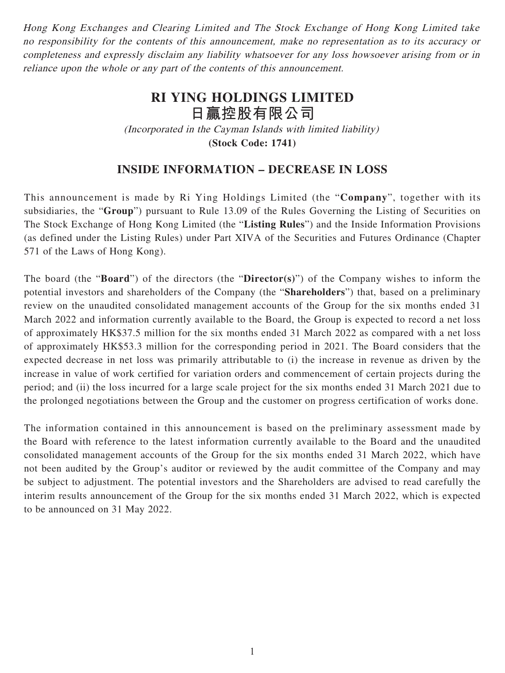Hong Kong Exchanges and Clearing Limited and The Stock Exchange of Hong Kong Limited take no responsibility for the contents of this announcement, make no representation as to its accuracy or completeness and expressly disclaim any liability whatsoever for any loss howsoever arising from or in reliance upon the whole or any part of the contents of this announcement.

## **RI YING HOLDINGS LIMITED 日贏控股有限公司** (Incorporated in the Cayman Islands with limited liability) **(Stock Code: 1741)**

## **INSIDE INFORMATION – DECREASE IN LOSS**

This announcement is made by Ri Ying Holdings Limited (the "**Company**", together with its subsidiaries, the "**Group**") pursuant to Rule 13.09 of the Rules Governing the Listing of Securities on The Stock Exchange of Hong Kong Limited (the "**Listing Rules**") and the Inside Information Provisions (as defined under the Listing Rules) under Part XIVA of the Securities and Futures Ordinance (Chapter 571 of the Laws of Hong Kong).

The board (the "**Board**") of the directors (the "**Director(s)**") of the Company wishes to inform the potential investors and shareholders of the Company (the "**Shareholders**") that, based on a preliminary review on the unaudited consolidated management accounts of the Group for the six months ended 31 March 2022 and information currently available to the Board, the Group is expected to record a net loss of approximately HK\$37.5 million for the six months ended 31 March 2022 as compared with a net loss of approximately HK\$53.3 million for the corresponding period in 2021. The Board considers that the expected decrease in net loss was primarily attributable to (i) the increase in revenue as driven by the increase in value of work certified for variation orders and commencement of certain projects during the period; and (ii) the loss incurred for a large scale project for the six months ended 31 March 2021 due to the prolonged negotiations between the Group and the customer on progress certification of works done.

The information contained in this announcement is based on the preliminary assessment made by the Board with reference to the latest information currently available to the Board and the unaudited consolidated management accounts of the Group for the six months ended 31 March 2022, which have not been audited by the Group's auditor or reviewed by the audit committee of the Company and may be subject to adjustment. The potential investors and the Shareholders are advised to read carefully the interim results announcement of the Group for the six months ended 31 March 2022, which is expected to be announced on 31 May 2022.